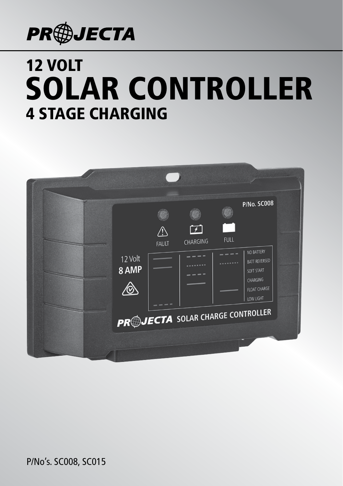

# SOLAR CONTROLLER 12 VOLT 4 STAGE CHARGING



P/No's. SC008, SC015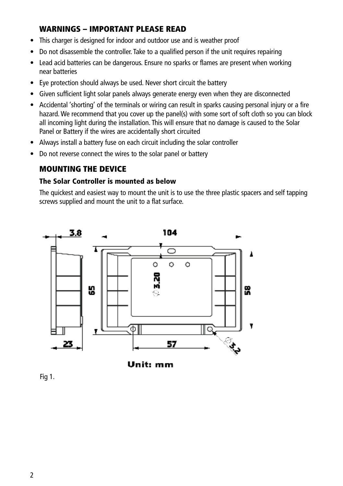# WARNINGS – IMPORTANT PLEASE READ

- This charger is designed for indoor and outdoor use and is weather proof
- Do not disassemble the controller. Take to a qualified person if the unit requires repairing
- Lead acid batteries can be dangerous. Ensure no sparks or flames are present when working near batteries
- Eye protection should always be used. Never short circuit the battery
- Given sufficient light solar panels always generate energy even when they are disconnected
- Accidental 'shorting' of the terminals or wiring can result in sparks causing personal injury or a fire hazard. We recommend that you cover up the panel(s) with some sort of soft cloth so you can block all incoming light during the installation. This will ensure that no damage is caused to the Solar Panel or Battery if the wires are accidentally short circuited
- Always install a battery fuse on each circuit including the solar controller
- Do not reverse connect the wires to the solar panel or battery

# MOUNTING THE DEVICE

#### The Solar Controller is mounted as below

The quickest and easiest way to mount the unit is to use the three plastic spacers and self tapping screws supplied and mount the unit to a flat surface.





Fig 1.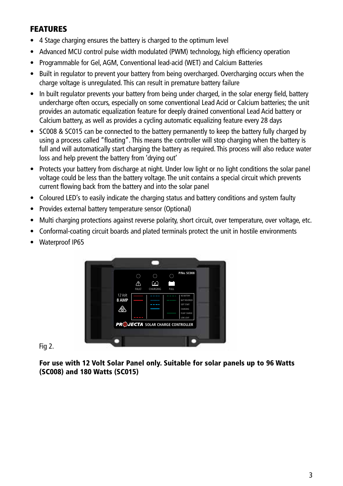## FEATURES

- 4 Stage charging ensures the battery is charged to the optimum level
- Advanced MCU control pulse width modulated (PWM) technology, high efficiency operation
- Programmable for Gel, AGM, Conventional lead-acid (WET) and Calcium Batteries
- Built in regulator to prevent your battery from being overcharged. Overcharging occurs when the charge voltage is unregulated. This can result in premature battery failure
- In built regulator prevents your battery from being under charged, in the solar energy field, battery undercharge often occurs, especially on some conventional Lead Acid or Calcium batteries; the unit provides an automatic equalization feature for deeply drained conventional Lead Acid battery or Calcium battery, as well as provides a cycling automatic equalizing feature every 28 days
- SC008 & SC015 can be connected to the battery permanently to keep the battery fully charged by using a process called "floating". This means the controller will stop charging when the battery is full and will automatically start charging the battery as required. This process will also reduce water loss and help prevent the battery from 'drying out'
- Protects your battery from discharge at night. Under low light or no light conditions the solar panel voltage could be less than the battery voltage. The unit contains a special circuit which prevents current flowing back from the battery and into the solar panel
- Coloured LED's to easily indicate the charging status and battery conditions and system faulty
- Provides external battery temperature sensor (Optional)
- Multi charging protections against reverse polarity, short circuit, over temperature, over voltage, etc.
- Conformal-coating circuit boards and plated terminals protect the unit in hostile environments
- Waterproof IP65



Fig 2.

For use with 12 Volt Solar Panel only. Suitable for solar panels up to 96 Watts (SC008) and 180 Watts (SC015)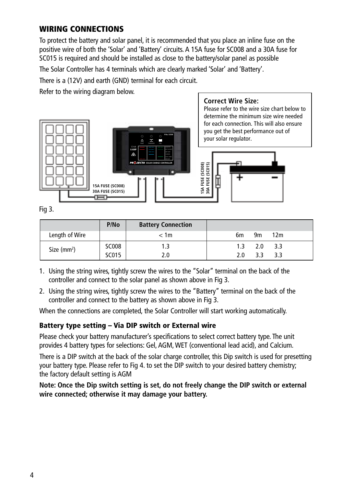# WIRING CONNECTIONS

To protect the battery and solar panel, it is recommended that you place an inline fuse on the positive wire of both the 'Solar' and 'Battery' circuits. A 15A fuse for SC008 and a 30A fuse for SC015 is required and should be installed as close to the battery/solar panel as possible

The Solar Controller has 4 terminals which are clearly marked 'Solar' and 'Battery'.

There is a (12V) and earth (GND) terminal for each circuit.

Refer to the wiring diagram below.



Fig 3.

**Correct Wire Size:**

Please refer to the wire size chart below to determine the minimum size wire needed for each connection. This will also ensure you get the best performance out of your solar regulator.



|                | P/No         | <b>Battery Connection</b> |     |     |                 |  |
|----------------|--------------|---------------------------|-----|-----|-----------------|--|
| Length of Wire |              | < 1m                      | 6m  | 9m  | 12 <sub>m</sub> |  |
| Size $(mm2)$   | <b>SC008</b> | 1.3                       | 1.3 | 2.0 | 3.3             |  |
|                | SC015        | 2.0                       | 2.0 | २ २ | 3.3             |  |

- 1. Using the string wires, tightly screw the wires to the "Solar" terminal on the back of the controller and connect to the solar panel as shown above in Fig 3.
- 2. Using the string wires, tightly screw the wires to the "Battery" terminal on the back of the controller and connect to the battery as shown above in Fig 3.

When the connections are completed, the Solar Controller will start working automatically.

## Battery type setting – Via DIP switch or External wire

Please check your battery manufacturer's specifications to select correct battery type. The unit provides 4 battery types for selections: Gel, AGM, WET (conventional lead acid), and Calcium.

There is a DIP switch at the back of the solar charge controller, this Dip switch is used for presetting your battery type. Please refer to Fig 4. to set the DIP switch to your desired battery chemistry; the factory default setting is AGM

#### **Note: Once the Dip switch setting is set, do not freely change the DIP switch or external wire connected; otherwise it may damage your battery.**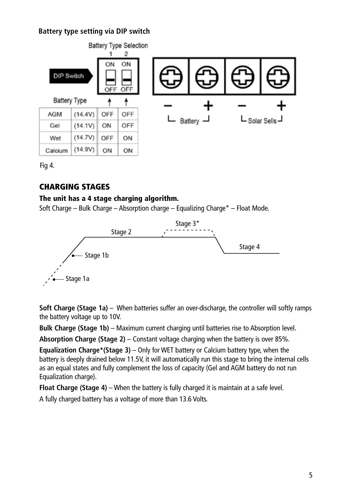## **Battery type setting via DIP switch**



**Battery type setting via external jumper wire** Fig 4.

# CHARGING STAGES

#### The unit has a 4 stage charging algorithm.

Soft Charge – Bulk Charge – Absorption charge – Equalizing Charge\* – Float Mode.



**Soft Charge (Stage 1a)** – When batteries suffer an over-discharge, the controller will softly ramps the battery voltage up to 10V.

**Bulk Charge (Stage 1b)** – Maximum current charging until batteries rise to Absorption level.

**Absorption Charge (Stage 2)** – Constant voltage charging when the battery is over 85%.

**Equalization Charge\*(Stage 3)** – Only for WET battery or Calcium battery type, when the battery is deeply drained below 11.5V, it will automatically run this stage to bring the internal cells as an equal states and fully complement the loss of capacity (Gel and AGM battery do not run Equalization charge).

**Float Charge (Stage 4)** – When the battery is fully charged it is maintain at a safe level.

A fully charged battery has a voltage of more than 13.6 Volts.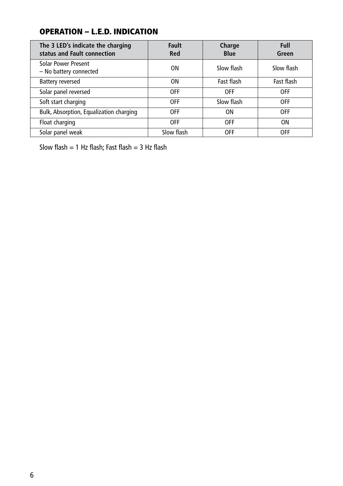# OPERATION – L.E.D. INDICATION

| The 3 LED's indicate the charging<br>status and Fault connection | <b>Fault</b><br>Red | Charge<br><b>Blue</b> | Full<br>Green |  |
|------------------------------------------------------------------|---------------------|-----------------------|---------------|--|
| Solar Power Present<br>- No battery connected                    | ΟN                  | Slow flash            | Slow flash    |  |
| <b>Battery reversed</b>                                          | ΟN                  | Fast flash            | Fast flash    |  |
| Solar panel reversed                                             | <b>OFF</b>          | <b>OFF</b>            | <b>OFF</b>    |  |
| Soft start charging                                              | <b>OFF</b>          | Slow flash            | <b>OFF</b>    |  |
| Bulk, Absorption, Equalization charging                          | <b>OFF</b>          | 0N                    | <b>OFF</b>    |  |
| Float charging                                                   | <b>OFF</b>          | <b>OFF</b>            | ΟN            |  |
| Solar panel weak                                                 | Slow flash          | <b>OFF</b>            | <b>OFF</b>    |  |

Slow flash = 1 Hz flash; Fast flash = 3 Hz flash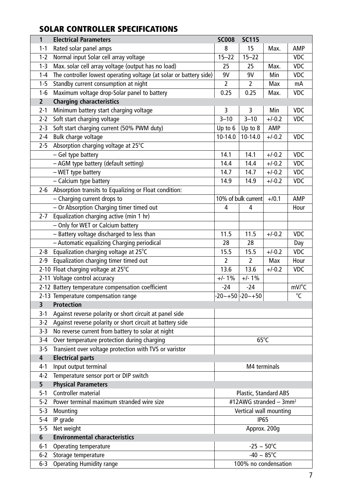# SOLAR CONTROLLER SPECIFICATIONS

| $\mathbf{1}$     | <b>Electrical Parameters</b>                                       | <b>SC008</b>                       | <b>SC115</b>            |          |            |  |
|------------------|--------------------------------------------------------------------|------------------------------------|-------------------------|----------|------------|--|
| 1-1              | Rated solar panel amps                                             | 8                                  | 15                      | Max.     | AMP        |  |
| $1 - 2$          | Normal input Solar cell array voltage                              | $15 - 22$                          | $15 - 22$               |          | <b>VDC</b> |  |
| $1-3$            | Max. solar cell array voltage (output has no load)                 | 25                                 | 25                      | Max.     | <b>VDC</b> |  |
| $1 - 4$          | The controller lowest operating voltage (at solar or battery side) | 9٧                                 | 9٧                      | Min      | VDC        |  |
| 1-5              | Standby current consumption at night                               | 2                                  | 2                       | Max      | mA         |  |
| 1-6              | Maximum voltage drop-Solar panel to battery                        | 0.25                               | 0.25                    | Max.     | <b>VDC</b> |  |
| $\mathbf{z}$     | <b>Charging characteristics</b>                                    |                                    |                         |          |            |  |
| $2 - 1$          | Minimum battery start charging voltage                             | 3                                  | 3                       | Min      | <b>VDC</b> |  |
| $2 - 2$          | Soft start charging voltage                                        | $3 - 10$                           | $3 - 10$                | $+/-0.2$ | <b>VDC</b> |  |
| $2 - 3$          | Soft start charging current (50% PWM duty)                         | Up to 6                            | Up to 8                 | AMP      |            |  |
| 2-4              | Bulk charge voltage                                                | 10-14.0                            | 10-14.0                 | $+/-0.2$ | <b>VDC</b> |  |
| 2-5              | Absorption charging voltage at 25°C                                |                                    |                         |          |            |  |
|                  | - Gel type battery                                                 | 14.1                               | 14.1                    | $+/-0.2$ | VDC        |  |
|                  | - AGM type battery (default setting)                               | 14.4                               | 14.4                    | $+/-0.2$ | <b>VDC</b> |  |
|                  | - WET type battery                                                 | 14.7                               | 14.7                    | $+/-0.2$ | VDC        |  |
|                  | - Calcium type battery                                             | 14.9                               | 14.9                    | $+/-0.2$ | VDC        |  |
| 2-6              | Absorption transits to Equalizing or Float condition:              |                                    |                         |          |            |  |
|                  | - Charging current drops to                                        |                                    | 10% of bulk current     | $+/0.1$  | AMP        |  |
|                  | - Or Absorption Charging timer timed out                           | 4                                  | 4                       |          | Hour       |  |
| 2-7              | Equalization charging active (min 1 hr)                            |                                    |                         |          |            |  |
|                  | - Only for WET or Calcium battery                                  |                                    |                         |          |            |  |
|                  | - Battery voltage discharged to less than                          | 11.5                               | 11.5                    | $+/-0.2$ | <b>VDC</b> |  |
|                  | - Automatic equalizing Charging periodical                         | 28                                 | 28                      |          | Day        |  |
| 2-8              | Equalization charging voltage at 25°C                              | 15.5                               | 15.5                    | $+/-0.2$ | VDC        |  |
| 2-9              | Equalization charging timer timed out                              | 2                                  | 2                       | Max      | Hour       |  |
|                  | 2-10 Float charging voltage at 25°C                                | 13.6                               | 13.6                    | $+/-0.2$ | <b>VDC</b> |  |
|                  | 2-11 Voltage control accuracy                                      | $+/- 1\%$                          | $+/- 1%$                |          |            |  |
|                  | 2-12 Battery temperature compensation coefficient                  | $-24$                              | $-24$                   |          | mV/°C      |  |
|                  | 2-13 Temperature compensation range                                |                                    | $-20 - +50$ $-20 - +50$ |          | °C         |  |
| 3                | <b>Protection</b>                                                  |                                    |                         |          |            |  |
| $3-1$            | Against reverse polarity or short circuit at panel side            |                                    |                         |          |            |  |
| $3-2$            | Against reverse polarity or short circuit at battery side          |                                    |                         |          |            |  |
| 3-3              | No reverse current from battery to solar at night                  |                                    |                         |          |            |  |
| 3-4              | Over temperature protection during charging                        | $65^{\circ}$ C                     |                         |          |            |  |
| $3-5$            | Transient over voltage protection with TVS or varistor             |                                    |                         |          |            |  |
| $\overline{4}$   | <b>Electrical parts</b>                                            |                                    |                         |          |            |  |
| 4-1              | Input output terminal                                              | M4 terminals                       |                         |          |            |  |
| $4-2$            | Temperature sensor port or DIP switch                              |                                    |                         |          |            |  |
| 5                | <b>Physical Parameters</b>                                         |                                    |                         |          |            |  |
| 5-1              | Controller material                                                | Plastic, Standard ABS              |                         |          |            |  |
| $\overline{5-2}$ | Power terminal maximum stranded wire size                          | #12AWG stranded - 3mm <sup>2</sup> |                         |          |            |  |
| $5-3$            | Mounting                                                           | Vertical wall mounting             |                         |          |            |  |
| $5 - 4$          | IP grade                                                           | <b>IP65</b>                        |                         |          |            |  |
| 5-5              | Net weight                                                         | Approx. 200g                       |                         |          |            |  |
| 6                | <b>Environmental characteristics</b>                               |                                    |                         |          |            |  |
| $6 - 1$          | Operating temperature<br>$-25 \sim 50^{\circ}$ C                   |                                    |                         |          |            |  |
| $6 - 2$          | Storage temperature                                                | $-40 \sim 85^{\circ}$ C            |                         |          |            |  |
| 6-3              | <b>Operating Humidity range</b>                                    | 100% no condensation               |                         |          |            |  |